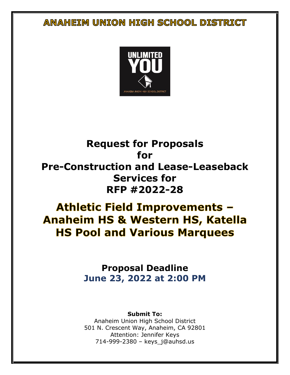**ANAHEIM UNION HIGH SCHOOL DISTRICT** 



## **Request for Proposals for Pre-Construction and Lease-Leaseback Services for RFP #2022-28**

# **Athletic Field Improvements -Anaheim HS & Western HS, Katella HS Pool and Various Marquees**

## **Proposal Deadline June 23, 2022 at 2:00 PM**

## **Submit To:**

Anaheim Union High School District 501 N. Crescent Way, Anaheim, CA 92801 Attention: Jennifer Keys 714-999-2380 – keys\_j@auhsd.us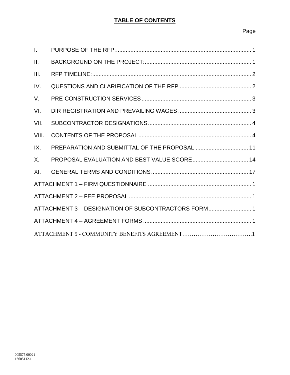## **TABLE OF CONTENTS**

#### Page

| $\mathbf{L}$ |                                                     |  |
|--------------|-----------------------------------------------------|--|
| Ш.           |                                                     |  |
| III.         |                                                     |  |
| IV.          |                                                     |  |
| V.           |                                                     |  |
| VI.          |                                                     |  |
| VII.         |                                                     |  |
| VIII.        |                                                     |  |
| IX.          | PREPARATION AND SUBMITTAL OF THE PROPOSAL  11       |  |
| $X_{-}$      | PROPOSAL EVALUATION AND BEST VALUE SCORE 14         |  |
| XI.          |                                                     |  |
|              |                                                     |  |
|              |                                                     |  |
|              | ATTACHMENT 3 - DESIGNATION OF SUBCONTRACTORS FORM 1 |  |
|              |                                                     |  |
|              |                                                     |  |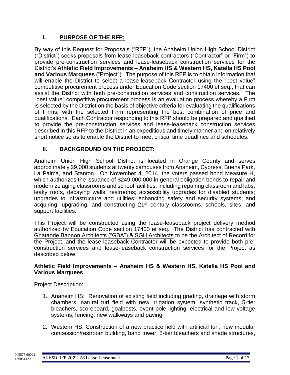## <span id="page-2-0"></span>**I. PURPOSE OF THE RFP:**

By way of this Request for Proposals ("RFP"), the Anaheim Union High School District ("District") seeks proposals from lease-leaseback contractors ("Contractor" or "Firm") to provide pre-construction services and lease-leaseback construction services for the District's **Athletic Field Improvements – Anaheim HS & Western HS, Katella HS Pool and Various Marquees** ("Project"). The purpose of this RFP is to obtain information that will enable the District to select a lease-leaseback Contractor using the "best value" competitive procurement process under Education Code section 17400 et seq., that can assist the District with both pre-construction services and construction services. The "best value" competitive procurement process is an evaluation process whereby a Firm is selected by the District on the basis of objective criteria for evaluating the qualifications of Firms, with the selected Firm representing the best combination of price and qualifications. Each Contractor responding to this RFP should be prepared and qualified to provide the pre-construction services and lease-leaseback construction services described in this RFP to the District in an expeditious and timely manner and on relatively short notice so as to enable the District to meet critical time deadlines and schedules.

## <span id="page-2-1"></span>**II. BACKGROUND ON THE PROJECT:**

Anaheim Union High School District is located in Orange County and serves approximately 29,000 students at twenty campuses from Anaheim, Cypress, Buena Park, La Palma, and Stanton. On November 4, 2014, the voters passed bond Measure H, which authorizes the issuance of \$249,000,000 in general obligation bonds to repair and modernize aging classrooms and school facilities, including repairing classroom and labs, leaky roofs, decaying walls, restrooms; accessibility upgrades for disabled students; upgrades to infrastructure and utilities; enhancing safety and security systems; and acquiring, upgrading, and constructing 21<sup>st</sup> century classrooms, schools, sites, and support facilities.

This Project will be constructed using the lease-leaseback project delivery method authorized by Education Code section 17400 et seq. The District has contracted with Ghataode Bannon Architects ("GBA") & SGH Architects to be the Architect of Record for the Project, and the lease-leaseback Contractor will be expected to provide both preconstruction services and lease-leaseback construction services for the Project as described below:

#### **Athletic Field Improvements – Anaheim HS & Western HS, Katella HS Pool and Various Marquees**

#### Project Description:

- 1. Anaheim HS: Renovation of existing field including grading, drainage with storm chambers, natural turf field with new irrigation system, synthetic track, 5-tier bleachers, scoreboard, goalposts, event pole lighting, electrical and low voltage systems, fencing, new walkways and paving.
- 2. Western HS: Construction of a new practice field with artificial turf, new modular concession/restroom building, band tower, 5-tier bleachers and shade structures,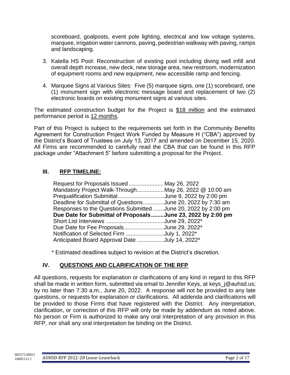scoreboard, goalposts, event pole lighting, electrical and low voltage systems, marquee, irrigation water cannons, paving, pedestrian walkway with paving, ramps and landscaping.

- 3. Katella HS Pool: Reconstruction of existing pool including diving well infill and overall depth increase, new deck, new storage area, new restroom, modernization of equipment rooms and new equipment, new accessible ramp and fencing.
- 4. Marquee Signs at Various Sites: Five (5) marquee signs, one (1) scoreboard, one (1) monument sign with electronic message board and replacement of two (2) electronic boards on existing monument signs at various sites.

The estimated construction budget for the Project is \$18 million and the estimated performance period is 12 months.

Part of this Project is subject to the requirements set forth in the Community Benefits Agreement for Construction Project Work Funded by Measure H ("CBA") approved by the District's Board of Trustees on July 13, 2017 and amended on December 15, 2020. All Firms are recommended to carefully read the CBA that can be found in this RFP package under "Attachment 5" before submitting a proposal for the Project.

## <span id="page-3-0"></span>**III. RFP TIMELINE:**

| Request for Proposals Issued May 26, 2022                      |  |
|----------------------------------------------------------------|--|
| Mandatory Project Walk-ThroughMay 26, 2022 @ 10:00 am          |  |
| Prequalification SubmittalJune 9, 2022 by 2:00 pm              |  |
| Deadline for Submittal of QuestionsJune 20, 2022 by 7:30 am    |  |
| Responses to the Questions Submitted  June 20, 2022 by 2:00 pm |  |
|                                                                |  |
| Due Date for Submittal of ProposalsJune 23, 2022 by 2:00 pm    |  |
|                                                                |  |
| Due Date for Fee ProposalsJune 29, 2022*                       |  |
| Notification of Selected Firm July 1, 2022*                    |  |

\* Estimated deadlines subject to revision at the District's discretion.

## <span id="page-3-1"></span>**IV. QUESTIONS AND CLARIFICATION OF THE RFP**

All questions, requests for explanation or clarifications of any kind in regard to this RFP shall be made in written form, submitted via email to Jennifer Keys, at keys  $j@$ auhsd.us; by no later than 7:30 a.m., June 20, 2022. A response will not be provided to any late questions, or requests for explanation or clarifications. All addenda and clarifications will be provided to those Firms that have registered with the District. Any interpretation, clarification, or correction of this RFP will only be made by addendum as noted above. No person or Firm is authorized to make any oral interpretation of any provision in this RFP, nor shall any oral interpretation be binding on the District.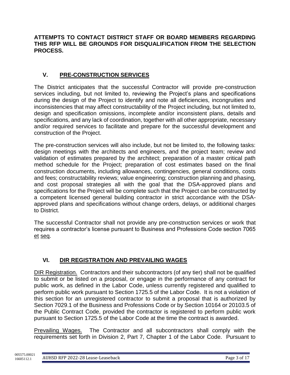**ATTEMPTS TO CONTACT DISTRICT STAFF OR BOARD MEMBERS REGARDING THIS RFP WILL BE GROUNDS FOR DISQUALIFICATION FROM THE SELECTION PROCESS.**

## <span id="page-4-0"></span>**V. PRE-CONSTRUCTION SERVICES**

The District anticipates that the successful Contractor will provide pre-construction services including, but not limited to, reviewing the Project's plans and specifications during the design of the Project to identify and note all deficiencies, incongruities and inconsistencies that may affect constructability of the Project including, but not limited to, design and specification omissions, incomplete and/or inconsistent plans, details and specifications, and any lack of coordination, together with all other appropriate, necessary and/or required services to facilitate and prepare for the successful development and construction of the Project.

The pre-construction services will also include, but not be limited to, the following tasks: design meetings with the architects and engineers, and the project team; review and validation of estimates prepared by the architect; preparation of a master critical path method schedule for the Project; preparation of cost estimates based on the final construction documents, including allowances, contingencies, general conditions, costs and fees; constructability reviews; value engineering; construction planning and phasing, and cost proposal strategies all with the goal that the DSA-approved plans and specifications for the Project will be complete such that the Project can be constructed by a competent licensed general building contractor in strict accordance with the DSAapproved plans and specifications without change orders, delays, or additional charges to District.

The successful Contractor shall not provide any pre-construction services or work that requires a contractor's license pursuant to Business and Professions Code section 7065 et seq.

## <span id="page-4-1"></span>**VI. DIR REGISTRATION AND PREVAILING WAGES**

DIR Registration. Contractors and their subcontractors (of any tier) shall not be qualified to submit or be listed on a proposal, or engage in the performance of any contract for public work, as defined in the Labor Code, unless currently registered and qualified to perform public work pursuant to Section 1725.5 of the Labor Code. It is not a violation of this section for an unregistered contractor to submit a proposal that is authorized by Section 7029.1 of the Business and Professions Code or by Section 10164 or 20103.5 of the Public Contract Code, provided the contractor is registered to perform public work pursuant to Section 1725.5 of the Labor Code at the time the contract is awarded.

Prevailing Wages. The Contractor and all subcontractors shall comply with the requirements set forth in Division 2, Part 7, Chapter 1 of the Labor Code. Pursuant to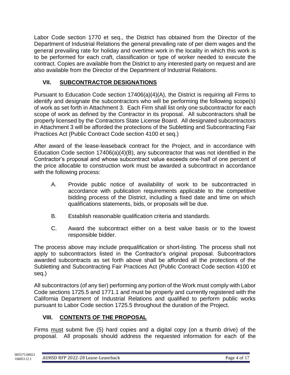Labor Code section 1770 et seq., the District has obtained from the Director of the Department of Industrial Relations the general prevailing rate of per diem wages and the general prevailing rate for holiday and overtime work in the locality in which this work is to be performed for each craft, classification or type of worker needed to execute the contract. Copies are available from the District to any interested party on request and are also available from the Director of the Department of Industrial Relations.

## <span id="page-5-0"></span>**VII. SUBCONTRACTOR DESIGNATIONS**

Pursuant to Education Code section 17406(a)(4)(A), the District is requiring all Firms to identify and designate the subcontractors who will be performing the following scope(s) of work as set forth in Attachment 3. Each Firm shall list only one subcontractor for each scope of work as defined by the Contractor in its proposal. All subcontractors shall be properly licensed by the Contractors State License Board. All designated subcontractors in Attachment 3 will be afforded the protections of the Subletting and Subcontracting Fair Practices Act (Public Contract Code section 4100 et seq.)

After award of the lease-leaseback contract for the Project, and in accordance with Education Code section 17406(a)(4)(B), any subcontractor that was not identified in the Contractor's proposal and whose subcontract value exceeds one-half of one percent of the price allocable to construction work must be awarded a subcontract in accordance with the following process:

- A. Provide public notice of availability of work to be subcontracted in accordance with publication requirements applicable to the competitive bidding process of the District, including a fixed date and time on which qualifications statements, bids, or proposals will be due.
- B. Establish reasonable qualification criteria and standards.
- C. Award the subcontract either on a best value basis or to the lowest responsible bidder.

The process above may include prequalification or short-listing. The process shall not apply to subcontractors listed in the Contractor's original proposal. Subcontractors awarded subcontracts as set forth above shall be afforded all the protections of the Subletting and Subcontracting Fair Practices Act (Public Contract Code section 4100 et seq.)

All subcontractors (of any tier) performing any portion of the Work must comply with Labor Code sections 1725.5 and 1771.1 and must be properly and currently registered with the California Department of Industrial Relations and qualified to perform public works pursuant to Labor Code section 1725.5 throughout the duration of the Project.

## <span id="page-5-1"></span>**VIII. CONTENTS OF THE PROPOSAL**

Firms must submit five (5) hard copies and a digital copy (on a thumb drive) of the proposal. All proposals should address the requested information for each of the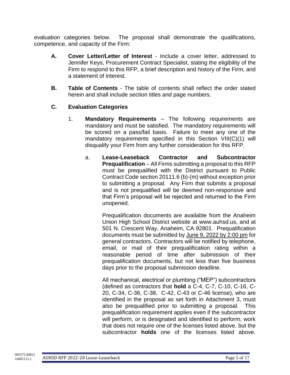evaluation categories below. The proposal shall demonstrate the qualifications, competence, and capacity of the Firm:

- **A. Cover Letter/Letter of Interest** Include a cover letter, addressed to Jennifer Keys, Procurement Contract Specialist, stating the eligibility of the Firm to respond to this RFP, a brief description and history of the Firm, and a statement of interest.
- **B. Table of Contents** The table of contents shall reflect the order stated herein and shall include section titles and page numbers.

#### **C. Evaluation Categories**

- 1. **Mandatory Requirements** The following requirements are mandatory and must be satisfied. The mandatory requirements will be scored on a pass/fail basis. Failure to meet any one of the mandatory requirements specified in this Section VIII(C)(1) will disqualify your Firm from any further consideration for this RFP.
	- a. **Lease-Leaseback Contractor and Subcontractor Prequalification** – All Firms submitting a proposal to this RFP must be prequalified with the District pursuant to Public Contract Code section 20111.6 (b)-(m) without exception prior to submitting a proposal. Any Firm that submits a proposal and is not prequalified will be deemed non-responsive and that Firm's proposal will be rejected and returned to the Firm unopened.

Prequalification documents are available from the Anaheim Union High School District website at www.auhsd.us, and at 501 N. Crescent Way, Anaheim, CA 92801. Prequalification documents must be submitted by June 9, 2022 by 2:00 pm for general contractors. Contractors will be notified by telephone, email, or mail of their prequalification rating within a reasonable period of time after submission of their prequalification documents, but not less than five business days prior to the proposal submission deadline.

All mechanical, electrical or plumbing ("MEP") subcontractors (defined as contractors that **hold** a C-4, C-7, C-10, C-16, C-20, C-34, C-36, C-38, C-42, C-43 or C-46 license), who are identified in the proposal as set forth in Attachment 3, must also be prequalified prior to submitting a proposal. This prequalification requirement applies even if the subcontractor will perform, or is designated and identified to perform, work that does not require one of the licenses listed above, but the subcontractor **holds** one of the licenses listed above.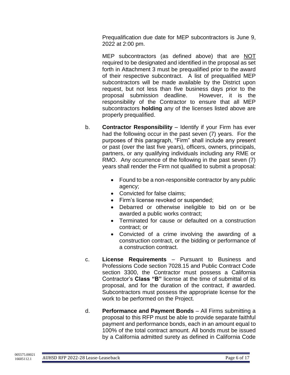Prequalification due date for MEP subcontractors is June 9, 2022 at 2:00 pm.

MEP subcontractors (as defined above) that are NOT required to be designated and identified in the proposal as set forth in Attachment 3 must be prequalified prior to the award of their respective subcontract. A list of prequalified MEP subcontractors will be made available by the District upon request, but not less than five business days prior to the proposal submission deadline. However, it is the responsibility of the Contractor to ensure that all MEP subcontractors **holding** any of the licenses listed above are properly prequalified.

- b. **Contractor Responsibility** Identify if your Firm has ever had the following occur in the past seven (7) years. For the purposes of this paragraph, "Firm" shall include any present or past (over the last five years), officers, owners, principals, partners, or any qualifying individuals including any RME or RMO. Any occurrence of the following in the past seven (7) years shall render the Firm not qualified to submit a proposal:
	- Found to be a non-responsible contractor by any public agency;
	- Convicted for false claims:
	- Firm's license revoked or suspended;
	- Debarred or otherwise ineligible to bid on or be awarded a public works contract;
	- Terminated for cause or defaulted on a construction contract; or
	- Convicted of a crime involving the awarding of a construction contract, or the bidding or performance of a construction contract.
- c. **License Requirements** Pursuant to Business and Professions Code section 7028.15 and Public Contract Code section 3300, the Contractor must possess a California Contractor's **Class "B"** license at the time of submittal of its proposal, and for the duration of the contract, if awarded. Subcontractors must possess the appropriate license for the work to be performed on the Project.
- d. **Performance and Payment Bonds** All Firms submitting a proposal to this RFP must be able to provide separate faithful payment and performance bonds, each in an amount equal to 100% of the total contract amount. All bonds must be issued by a California admitted surety as defined in California Code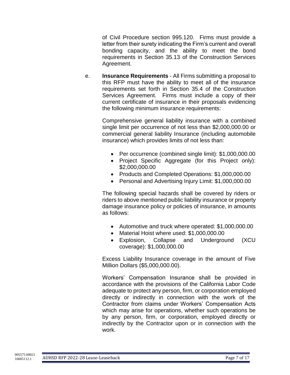of Civil Procedure section 995.120. Firms must provide a letter from their surety indicating the Firm's current and overall bonding capacity, and the ability to meet the bond requirements in Section 35.13 of the Construction Services Agreement.

e. **Insurance Requirements** - All Firms submitting a proposal to this RFP must have the ability to meet all of the insurance requirements set forth in Section 35.4 of the Construction Services Agreement. Firms must include a copy of their current certificate of insurance in their proposals evidencing the following minimum insurance requirements:

> Comprehensive general liability insurance with a combined single limit per occurrence of not less than \$2,000,000.00 or commercial general liability Insurance (including automobile insurance) which provides limits of not less than:

- Per occurrence (combined single limit): \$1,000,000.00
- Project Specific Aggregate (for this Project only): \$2,000,000.00
- Products and Completed Operations: \$1,000,000.00
- Personal and Advertising Injury Limit: \$1,000,000.00

The following special hazards shall be covered by riders or riders to above mentioned public liability insurance or property damage insurance policy or policies of insurance, in amounts as follows:

- Automotive and truck where operated: \$1,000,000.00
- Material Hoist where used: \$1,000,000.00
- Explosion, Collapse and Underground (XCU coverage): \$1,000,000.00

Excess Liability Insurance coverage in the amount of Five Million Dollars (\$5,000,000.00).

Workers' Compensation Insurance shall be provided in accordance with the provisions of the California Labor Code adequate to protect any person, firm, or corporation employed directly or indirectly in connection with the work of the Contractor from claims under Workers' Compensation Acts which may arise for operations, whether such operations be by any person, firm, or corporation, employed directly or indirectly by the Contractor upon or in connection with the work.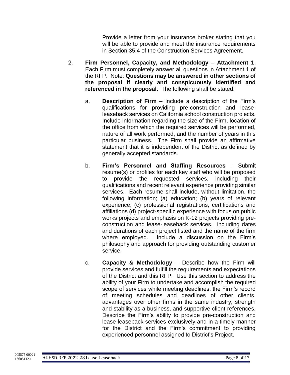Provide a letter from your insurance broker stating that you will be able to provide and meet the insurance requirements in Section 35.4 of the Construction Services Agreement.

- 2. **Firm Personnel, Capacity, and Methodology – Attachment 1**. Each Firm must completely answer all questions in Attachment 1 of the RFP. Note: **Questions may be answered in other sections of the proposal if clearly and conspicuously identified and referenced in the proposal.** The following shall be stated:
	- a. **Description of Firm** Include a description of the Firm's qualifications for providing pre-construction and leaseleaseback services on California school construction projects. Include information regarding the size of the Firm, location of the office from which the required services will be performed, nature of all work performed, and the number of years in this particular business. The Firm shall provide an affirmative statement that it is independent of the District as defined by generally accepted standards.
	- b. **Firm's Personnel and Staffing Resources** Submit resume(s) or profiles for each key staff who will be proposed to provide the requested services, including their qualifications and recent relevant experience providing similar services. Each resume shall include, without limitation, the following information; (a) education; (b) years of relevant experience; (c) professional registrations, certifications and affiliations (d) project-specific experience with focus on public works projects and emphasis on K-12 projects providing preconstruction and lease-leaseback services, including dates and durations of each project listed and the name of the firm where employed. Include a discussion on the Firm's philosophy and approach for providing outstanding customer service.
	- c. **Capacity & Methodology** Describe how the Firm will provide services and fulfill the requirements and expectations of the District and this RFP. Use this section to address the ability of your Firm to undertake and accomplish the required scope of services while meeting deadlines, the Firm's record of meeting schedules and deadlines of other clients, advantages over other firms in the same industry, strength and stability as a business, and supportive client references. Describe the Firm's ability to provide pre-construction and lease-leaseback services exclusively and in a timely manner for the District and the Firm's commitment to providing experienced personnel assigned to District's Project.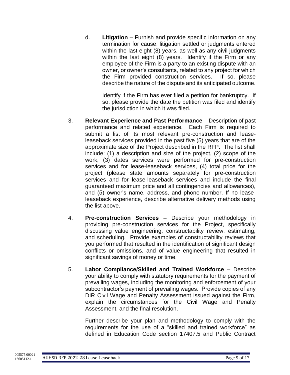d. **Litigation** – Furnish and provide specific information on any termination for cause, litigation settled or judgments entered within the last eight (8) years, as well as any civil judgments within the last eight (8) years. Identify if the Firm or any employee of the Firm is a party to an existing dispute with an owner, or owner's consultants, related to any project for which the Firm provided construction services. If so, please describe the nature of the dispute and its anticipated outcome.

Identify if the Firm has ever filed a petition for bankruptcy. If so, please provide the date the petition was filed and identify the jurisdiction in which it was filed.

- 3. **Relevant Experience and Past Performance** Description of past performance and related experience. Each Firm is required to submit a list of its most relevant pre-construction and leaseleaseback services provided in the past five (5) years that are of the approximate size of the Project described in the RFP. The list shall include: (1) a description and size of the project, (2) scope of the work, (3) dates services were performed for pre-construction services and for lease-leaseback services, (4) total price for the project (please state amounts separately for pre-construction services and for lease-leaseback services and include the final guaranteed maximum price and all contingencies and allowances), and (5) owner's name, address, and phone number. If no leaseleaseback experience, describe alternative delivery methods using the list above.
- 4. **Pre-construction Services** Describe your methodology in providing pre-construction services for the Project, specifically discussing value engineering, constructability review, estimating, and scheduling. Provide examples of constructability reviews that you performed that resulted in the identification of significant design conflicts or omissions, and of value engineering that resulted in significant savings of money or time.
- 5. **Labor Compliance/Skilled and Trained Workforce** Describe your ability to comply with statutory requirements for the payment of prevailing wages, including the monitoring and enforcement of your subcontractor's payment of prevailing wages. Provide copies of any DIR Civil Wage and Penalty Assessment issued against the Firm, explain the circumstances for the Civil Wage and Penalty Assessment, and the final resolution.

Further describe your plan and methodology to comply with the requirements for the use of a "skilled and trained workforce" as defined in Education Code section 17407.5 and Public Contract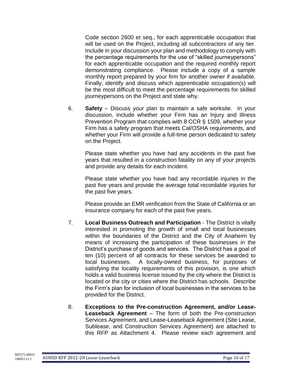Code section 2600 et seq., for each apprenticable occupation that will be used on the Project, including all subcontractors of any tier. Include in your discussion your plan and methodology to comply with the percentage requirements for the use of "skilled journeypersons" for each apprenticable occupation and the required monthly report demonstrating compliance. Please include a copy of a sample monthly report prepared by your firm for another owner if available. Finally, identify and discuss which apprenticable occupation(s) will be the most difficult to meet the percentage requirements for skilled journeypersons on the Project and state why.

6. **Safety** – Discuss your plan to maintain a safe worksite. In your discussion, include whether your Firm has an Injury and Illness Prevention Program that complies with 8 CCR § 1509, whether your Firm has a safety program that meets Cal/OSHA requirements, and whether your Firm will provide a full-time person dedicated to safety on the Project.

Please state whether you have had any accidents in the past five years that resulted in a construction fatality on any of your projects and provide any details for each incident.

Please state whether you have had any recordable injuries in the past five years and provide the average total recordable injuries for the past five years.

Please provide an EMR verification from the State of California or an insurance company for each of the past five years.

- 7. **Local Business Outreach and Participation** The District is vitally interested in promoting the growth of small and local businesses within the boundaries of the District and the City of Anaheim by means of increasing the participation of these businesses in the District's purchase of goods and services. The District has a goal of ten (10) percent of all contracts for these services be awarded to local businesses. A locally-owned business, for purposes of satisfying the locality requirements of this provision, is one which holds a valid business license issued by the city where the District is located or the city or cities where the District has schools. Describe the Firm's plan for inclusion of local businesses in the services to be provided for the District.
- 8. **Exceptions to the Pre-construction Agreement, and/or Lease-Leaseback Agreement** – The form of both the Pre-construction Services Agreement, and Lease-Leaseback Agreement (Site Lease, Sublease, and Construction Services Agreement) are attached to this RFP as Attachment 4. Please review each agreement and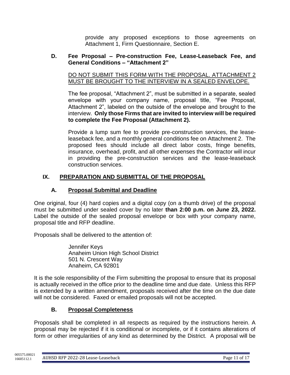provide any proposed exceptions to those agreements on Attachment 1, Firm Questionnaire, Section E.

#### **D. Fee Proposal – Pre-construction Fee, Lease-Leaseback Fee, and General Conditions – "Attachment 2"**

#### DO NOT SUBMIT THIS FORM WITH THE PROPOSAL. ATTACHMENT 2 MUST BE BROUGHT TO THE INTERVIEW IN A SEALED ENVELOPE.

The fee proposal, "Attachment 2", must be submitted in a separate, sealed envelope with your company name, proposal title, "Fee Proposal, Attachment 2", labeled on the outside of the envelope and brought to the interview. **Only those Firms that are invited to interview will be required to complete the Fee Proposal (Attachment 2).**

Provide a lump sum fee to provide pre-construction services, the leaseleaseback fee, and a monthly general conditions fee on Attachment 2. The proposed fees should include all direct labor costs, fringe benefits, insurance, overhead, profit, and all other expenses the Contractor will incur in providing the pre-construction services and the lease-leaseback construction services.

## <span id="page-12-0"></span>**IX. PREPARATION AND SUBMITTAL OF THE PROPOSAL**

## **A. Proposal Submittal and Deadline**

One original, four (4) hard copies and a digital copy (on a thumb drive) of the proposal must be submitted under sealed cover by no later **than 2:00 p.m. on June 23, 2022.**  Label the outside of the sealed proposal envelope or box with your company name, proposal title and RFP deadline.

Proposals shall be delivered to the attention of:

Jennifer Keys Anaheim Union High School District 501 N. Crescent Way Anaheim, CA 92801

It is the sole responsibility of the Firm submitting the proposal to ensure that its proposal is actually received in the office prior to the deadline time and due date. Unless this RFP is extended by a written amendment, proposals received after the time on the due date will not be considered. Faxed or emailed proposals will not be accepted.

## **B. Proposal Completeness**

Proposals shall be completed in all respects as required by the instructions herein. A proposal may be rejected if it is conditional or incomplete, or if it contains alterations of form or other irregularities of any kind as determined by the District. A proposal will be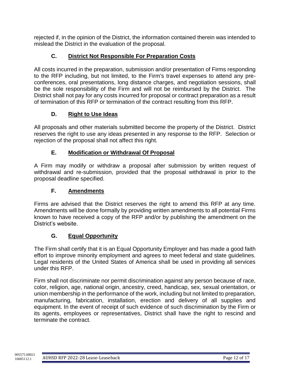rejected if, in the opinion of the District, the information contained therein was intended to mislead the District in the evaluation of the proposal.

## **C. District Not Responsible For Preparation Costs**

All costs incurred in the preparation, submission and/or presentation of Firms responding to the RFP including, but not limited, to the Firm's travel expenses to attend any preconferences, oral presentations, long distance charges, and negotiation sessions, shall be the sole responsibility of the Firm and will not be reimbursed by the District. The District shall not pay for any costs incurred for proposal or contract preparation as a result of termination of this RFP or termination of the contract resulting from this RFP.

## **D. Right to Use Ideas**

All proposals and other materials submitted become the property of the District. District reserves the right to use any ideas presented in any response to the RFP. Selection or rejection of the proposal shall not affect this right.

## **E. Modification or Withdrawal Of Proposal**

A Firm may modify or withdraw a proposal after submission by written request of withdrawal and re-submission, provided that the proposal withdrawal is prior to the proposal deadline specified.

## **F. Amendments**

Firms are advised that the District reserves the right to amend this RFP at any time. Amendments will be done formally by providing written amendments to all potential Firms known to have received a copy of the RFP and/or by publishing the amendment on the District's website.

## **G. Equal Opportunity**

The Firm shall certify that it is an Equal Opportunity Employer and has made a good faith effort to improve minority employment and agrees to meet federal and state guidelines. Legal residents of the United States of America shall be used in providing all services under this RFP.

Firm shall not discriminate nor permit discrimination against any person because of race, color, religion, age, national origin, ancestry, creed, handicap, sex, sexual orientation, or union membership in the performance of the work, including but not limited to preparation, manufacturing, fabrication, installation, erection and delivery of all supplies and equipment. In the event of receipt of such evidence of such discrimination by the Firm or its agents, employees or representatives, District shall have the right to rescind and terminate the contract.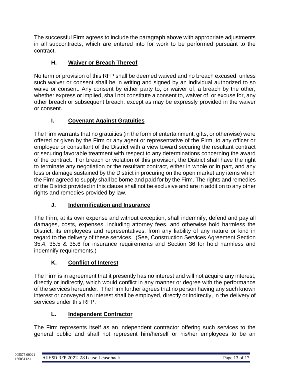The successful Firm agrees to include the paragraph above with appropriate adjustments in all subcontracts, which are entered into for work to be performed pursuant to the contract.

## **H. Waiver or Breach Thereof**

No term or provision of this RFP shall be deemed waived and no breach excused, unless such waiver or consent shall be in writing and signed by an individual authorized to so waive or consent. Any consent by either party to, or waiver of, a breach by the other, whether express or implied, shall not constitute a consent to, waiver of, or excuse for, any other breach or subsequent breach, except as may be expressly provided in the waiver or consent.

## **I. Covenant Against Gratuities**

The Firm warrants that no gratuities (in the form of entertainment, gifts, or otherwise) were offered or given by the Firm or any agent or representative of the Firm, to any officer or employee or consultant of the District with a view toward securing the resultant contract or securing favorable treatment with respect to any determinations concerning the award of the contract. For breach or violation of this provision, the District shall have the right to terminate any negotiation or the resultant contract, either in whole or in part, and any loss or damage sustained by the District in procuring on the open market any items which the Firm agreed to supply shall be borne and paid for by the Firm. The rights and remedies of the District provided in this clause shall not be exclusive and are in addition to any other rights and remedies provided by law.

## **J. Indemnification and Insurance**

The Firm, at its own expense and without exception, shall indemnify, defend and pay all damages, costs, expenses, including attorney fees, and otherwise hold harmless the District, its employees and representatives, from any liability of any nature or kind in regard to the delivery of these services. (See, Construction Services Agreement Section 35.4, 35.5 & 35.6 for insurance requirements and Section 36 for hold harmless and indemnify requirements.)

## **K. Conflict of Interest**

The Firm is in agreement that it presently has no interest and will not acquire any interest, directly or indirectly, which would conflict in any manner or degree with the performance of the services hereunder. The Firm further agrees that no person having any such known interest or conveyed an interest shall be employed, directly or indirectly, in the delivery of services under this RFP.

## **L. Independent Contractor**

The Firm represents itself as an independent contractor offering such services to the general public and shall not represent him/herself or his/her employees to be an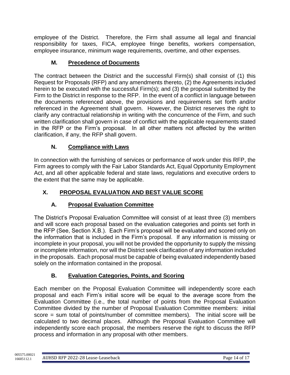employee of the District. Therefore, the Firm shall assume all legal and financial responsibility for taxes, FICA, employee fringe benefits, workers compensation, employee insurance, minimum wage requirements, overtime, and other expenses.

## **M. Precedence of Documents**

The contract between the District and the successful Firm(s) shall consist of (1) this Request for Proposals (RFP) and any amendments thereto, (2) the Agreements included herein to be executed with the successful Firm(s); and (3) the proposal submitted by the Firm to the District in response to the RFP. In the event of a conflict in language between the documents referenced above, the provisions and requirements set forth and/or referenced in the Agreement shall govern. However, the District reserves the right to clarify any contractual relationship in writing with the concurrence of the Firm, and such written clarification shall govern in case of conflict with the applicable requirements stated in the RFP or the Firm's proposal. In all other matters not affected by the written clarification, if any, the RFP shall govern.

## **N. Compliance with Laws**

In connection with the furnishing of services or performance of work under this RFP, the Firm agrees to comply with the Fair Labor Standards Act, Equal Opportunity Employment Act, and all other applicable federal and state laws, regulations and executive orders to the extent that the same may be applicable.

## <span id="page-15-0"></span>**X. PROPOSAL EVALUATION AND BEST VALUE SCORE**

## **A. Proposal Evaluation Committee**

The District's Proposal Evaluation Committee will consist of at least three (3) members and will score each proposal based on the evaluation categories and points set forth in the RFP (See, Section X.B.). Each Firm's proposal will be evaluated and scored only on the information that is included in the Firm's proposal. If any information is missing or incomplete in your proposal, you will not be provided the opportunity to supply the missing or incomplete information, nor will the District seek clarification of any information included in the proposals. Each proposal must be capable of being evaluated independently based solely on the information contained in the proposal.

## **B. Evaluation Categories, Points, and Scoring**

Each member on the Proposal Evaluation Committee will independently score each proposal and each Firm's initial score will be equal to the average score from the Evaluation Committee (i.e., the total number of points from the Proposal Evaluation Committee divided by the number of Proposal Evaluation Committee members: initial score = sum total of points/number of committee members). The initial score will be calculated to two decimal places. Although the Proposal Evaluation Committee will independently score each proposal, the members reserve the right to discuss the RFP process and information in any proposal with other members.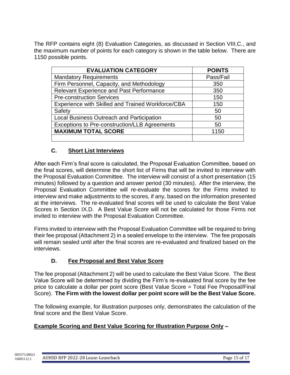The RFP contains eight (8) Evaluation Categories, as discussed in Section VIII.C., and the maximum number of points for each category is shown in the table below. There are 1150 possible points.

| <b>EVALUATION CATEGORY</b>                        | <b>POINTS</b> |
|---------------------------------------------------|---------------|
| <b>Mandatory Requirements</b>                     | Pass/Fail     |
| Firm Personnel, Capacity, and Methodology         | 350           |
| Relevant Experience and Past Performance          | 350           |
| <b>Pre-construction Services</b>                  | 150           |
| Experience with Skilled and Trained Workforce/CBA | 150           |
| Safety                                            | 50            |
| Local Business Outreach and Participation         | 50            |
| Exceptions to Pre-construction/LLB Agreements     | 50            |
| <b>MAXIMUM TOTAL SCORE</b>                        | 1150          |
|                                                   |               |

## **C. Short List Interviews**

After each Firm's final score is calculated, the Proposal Evaluation Committee, based on the final scores, will determine the short list of Firms that will be invited to interview with the Proposal Evaluation Committee. The interview will consist of a short presentation (15 minutes) followed by a question and answer period (30 minutes). After the interview, the Proposal Evaluation Committee will re-evaluate the scores for the Firms invited to interview and make adjustments to the scores, if any, based on the information presented at the interviews. The re-evaluated final scores will be used to calculate the Best Value Scores in Section IX.D. A Best Value Score will not be calculated for those Firms not invited to interview with the Proposal Evaluation Committee.

Firms invited to interview with the Proposal Evaluation Committee will be required to bring their fee proposal (Attachment 2) in a sealed envelope to the interview. The fee proposals will remain sealed until after the final scores are re-evaluated and finalized based on the interviews.

## **D. Fee Proposal and Best Value Score**

The fee proposal (Attachment 2) will be used to calculate the Best Value Score. The Best Value Score will be determined by dividing the Firm's re-evaluated final score by the fee price to calculate a dollar per point score (Best Value Score = Total Fee Proposal/Final Score). **The Firm with the lowest dollar per point score will be the Best Value Score.**

The following example, for illustration purposes only, demonstrates the calculation of the final score and the Best Value Score.

## **Example Scoring and Best Value Scoring for Illustration Purpose Only –**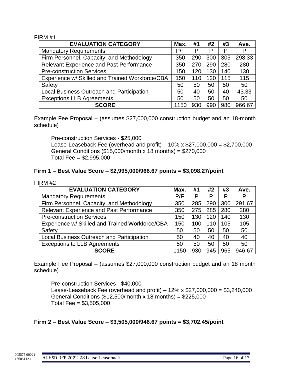#### FIRM #1

| <b>EVALUATION CATEGORY</b>                       | Max. | #1  | #2  | #3  | Ave.   |
|--------------------------------------------------|------|-----|-----|-----|--------|
| <b>Mandatory Requirements</b>                    | P/F  | P   | P   | P   | P      |
| Firm Personnel, Capacity, and Methodology        | 350  | 290 | 300 | 305 | 298.33 |
| <b>Relevant Experience and Past Performance</b>  | 350  | 270 | 290 | 280 | 280    |
| <b>Pre-construction Services</b>                 |      | 120 | 130 | 140 | 130    |
| Experience w/ Skilled and Trained Workforce/CBA  | 150  | 110 | 120 | 115 | 115    |
| Safety                                           | 50   | 50  | 50  | 50  | 50     |
| <b>Local Business Outreach and Participation</b> | 50   | 40  | 50  | 40  | 43.33  |
| <b>Exceptions LLB Agreements</b>                 | 50   | 50  | 50  | 50  | 50     |
| <b>SCORE</b>                                     | 1150 | 930 | 990 | 980 | 966.67 |

Example Fee Proposal – (assumes \$27,000,000 construction budget and an 18-month schedule)

Pre-construction Services - \$25,000 Lease-Leaseback Fee (overhead and profit) – 10% x \$27,000,000 = \$2,700,000 General Conditions (\$15,000/month x 18 months) = \$270,000 Total Fee = \$2,995,000

#### **Firm 1 – Best Value Score – \$2,995,000/966.67 points = \$3,098.27/point**

| FIRM #2 |                                                  |      |     |     |     |        |
|---------|--------------------------------------------------|------|-----|-----|-----|--------|
|         | <b>EVALUATION CATEGORY</b>                       | Max. | #1  | #2  | #3  | Ave.   |
|         | <b>Mandatory Requirements</b>                    | P/F  | P   | P   | P   | Р      |
|         | Firm Personnel, Capacity, and Methodology        | 350  | 285 | 290 | 300 | 291.67 |
|         | <b>Relevant Experience and Past Performance</b>  | 350  | 275 | 285 | 280 | 280    |
|         | <b>Pre-construction Services</b>                 |      |     | 120 | 140 | 130    |
|         | Experience w/ Skilled and Trained Workforce/CBA  | 150  | 100 | 110 | 105 | 105    |
| Safety  |                                                  | 50   | 50  | 50  | 50  | 50     |
|         | <b>Local Business Outreach and Participation</b> | 50   | 40  | 40  | 40  | 40     |
|         | <b>Exceptions to LLB Agreements</b>              | 50   | 50  | 50  | 50  | 50     |
|         | <b>SCORE</b>                                     | 1150 | 930 | 945 | 965 | 946.67 |

Example Fee Proposal – (assumes \$27,000,000 construction budget and an 18 month schedule)

Pre-construction Services - \$40,000 Lease-Leaseback Fee (overhead and profit) – 12% x \$27,000,000 = \$3,240,000 General Conditions (\$12,500/month x 18 months) = \$225,000 Total Fee = \$3,505,000

## **Firm 2 – Best Value Score – \$3,505,000/946.67 points = \$3,702.45/point**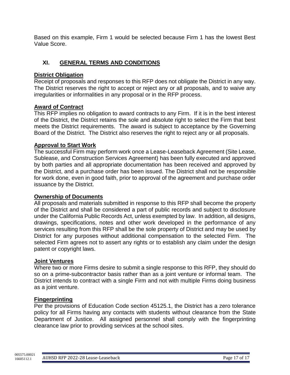Based on this example, Firm 1 would be selected because Firm 1 has the lowest Best Value Score.

## <span id="page-18-0"></span>**XI. GENERAL TERMS AND CONDITIONS**

#### **District Obligation**

Receipt of proposals and responses to this RFP does not obligate the District in any way. The District reserves the right to accept or reject any or all proposals, and to waive any irregularities or informalities in any proposal or in the RFP process.

#### **Award of Contract**

This RFP implies no obligation to award contracts to any Firm. If it is in the best interest of the District, the District retains the sole and absolute right to select the Firm that best meets the District requirements. The award is subject to acceptance by the Governing Board of the District. The District also reserves the right to reject any or all proposals.

#### **Approval to Start Work**

The successful Firm may perform work once a Lease-Leaseback Agreement (Site Lease, Sublease, and Construction Services Agreement) has been fully executed and approved by both parties and all appropriate documentation has been received and approved by the District, and a purchase order has been issued. The District shall not be responsible for work done, even in good faith, prior to approval of the agreement and purchase order issuance by the District.

#### **Ownership of Documents**

All proposals and materials submitted in response to this RFP shall become the property of the District and shall be considered a part of public records and subject to disclosure under the California Public Records Act, unless exempted by law. In addition, all designs, drawings, specifications, notes and other work developed in the performance of any services resulting from this RFP shall be the sole property of District and may be used by District for any purposes without additional compensation to the selected Firm. The selected Firm agrees not to assert any rights or to establish any claim under the design patent or copyright laws.

#### **Joint Ventures**

Where two or more Firms desire to submit a single response to this RFP, they should do so on a prime-subcontractor basis rather than as a joint venture or informal team. The District intends to contract with a single Firm and not with multiple Firms doing business as a joint venture.

#### **Fingerprinting**

Per the provisions of Education Code section 45125.1, the District has a zero tolerance policy for all Firms having any contacts with students without clearance from the State Department of Justice. All assigned personnel shall comply with the fingerprinting clearance law prior to providing services at the school sites.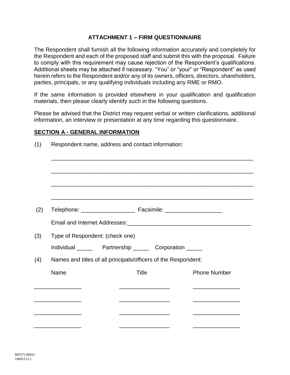#### **ATTACHMENT 1 – FIRM QUESTIONNAIRE**

<span id="page-19-0"></span>The Respondent shall furnish all the following information accurately and completely for the Respondent and each of the proposed staff and submit this with the proposal. Failure to comply with this requirement may cause rejection of the Respondent's qualifications. Additional sheets may be attached if necessary. "You" or "your" or "Respondent" as used herein refers to the Respondent and/or any of its owners, officers, directors, shareholders, parties, principals, or any qualifying individuals including any RME or RMO.

If the same information is provided elsewhere in your qualification and qualification materials, then please clearly identify such in the following questions.

Please be advised that the District may request verbal or written clarifications, additional information, an interview or presentation at any time regarding this questionnaire.

#### **SECTION A - GENERAL INFORMATION**

| Type of Respondent: (check one)<br>Individual ________ Partnership _______ Corporation ______ |                                                                                                                      |  |                                                                                                                      |  |  |  |
|-----------------------------------------------------------------------------------------------|----------------------------------------------------------------------------------------------------------------------|--|----------------------------------------------------------------------------------------------------------------------|--|--|--|
|                                                                                               |                                                                                                                      |  |                                                                                                                      |  |  |  |
|                                                                                               |                                                                                                                      |  |                                                                                                                      |  |  |  |
|                                                                                               |                                                                                                                      |  |                                                                                                                      |  |  |  |
| Names and titles of all principals/officers of the Respondent:                                |                                                                                                                      |  |                                                                                                                      |  |  |  |
| Name<br><b>Title</b>                                                                          |                                                                                                                      |  | <b>Phone Number</b>                                                                                                  |  |  |  |
|                                                                                               |                                                                                                                      |  |                                                                                                                      |  |  |  |
|                                                                                               | <u> 1989 - Johann John Stone, markin fan it ferstjer fan it ferstjer fan it ferstjer fan it ferstjer fan it fers</u> |  | <u> 1989 - Johann John Stone, markin fan it ferstjer fan it ferstjer fan it ferstjer fan it ferstjer fan it fers</u> |  |  |  |
|                                                                                               |                                                                                                                      |  |                                                                                                                      |  |  |  |

(1) Respondent name, address and contact information: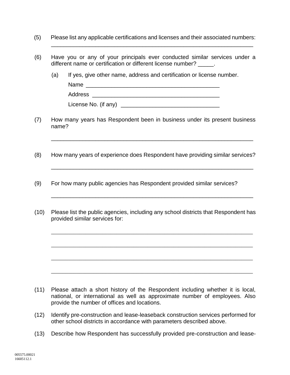(5) Please list any applicable certifications and licenses and their associated numbers:

\_\_\_\_\_\_\_\_\_\_\_\_\_\_\_\_\_\_\_\_\_\_\_\_\_\_\_\_\_\_\_\_\_\_\_\_\_\_\_\_\_\_\_\_\_\_\_\_\_\_\_\_\_\_\_\_\_\_\_\_\_\_\_\_

- (6) Have you or any of your principals ever conducted similar services under a different name or certification or different license number? \_\_\_\_\_.
	- (a) If yes, give other name, address and certification or license number.

Name \_\_\_\_\_\_\_\_\_\_\_\_\_\_\_\_\_\_\_\_\_\_\_\_\_\_\_\_\_\_\_\_\_\_\_\_\_\_\_\_\_\_

Address \_\_\_\_\_\_\_\_\_\_\_\_\_\_\_\_\_\_\_\_\_\_\_\_\_\_\_\_\_\_\_\_\_\_\_\_\_\_\_\_

License No. (if any)  $\Box$ 

(7) How many years has Respondent been in business under its present business name?

\_\_\_\_\_\_\_\_\_\_\_\_\_\_\_\_\_\_\_\_\_\_\_\_\_\_\_\_\_\_\_\_\_\_\_\_\_\_\_\_\_\_\_\_\_\_\_\_\_\_\_\_\_\_\_\_\_\_\_\_\_\_\_\_

\_\_\_\_\_\_\_\_\_\_\_\_\_\_\_\_\_\_\_\_\_\_\_\_\_\_\_\_\_\_\_\_\_\_\_\_\_\_\_\_\_\_\_\_\_\_\_\_\_\_\_\_\_\_\_\_\_\_\_\_\_\_\_\_

\_\_\_\_\_\_\_\_\_\_\_\_\_\_\_\_\_\_\_\_\_\_\_\_\_\_\_\_\_\_\_\_\_\_\_\_\_\_\_\_\_\_\_\_\_\_\_\_\_\_\_\_\_\_\_\_\_\_\_\_\_\_\_\_

\_\_\_\_\_\_\_\_\_\_\_\_\_\_\_\_\_\_\_\_\_\_\_\_\_\_\_\_\_\_\_\_\_\_\_\_\_\_\_\_\_\_\_\_\_\_\_\_\_\_\_\_\_\_\_\_\_\_\_\_\_\_\_\_\_\_\_\_\_\_\_

\_\_\_\_\_\_\_\_\_\_\_\_\_\_\_\_\_\_\_\_\_\_\_\_\_\_\_\_\_\_\_\_\_\_\_\_\_\_\_\_\_\_\_\_\_\_\_\_\_\_\_\_\_\_\_\_\_\_\_\_\_\_\_\_\_\_\_\_\_\_\_

\_\_\_\_\_\_\_\_\_\_\_\_\_\_\_\_\_\_\_\_\_\_\_\_\_\_\_\_\_\_\_\_\_\_\_\_\_\_\_\_\_\_\_\_\_\_\_\_\_\_\_\_\_\_\_\_\_\_\_\_\_\_\_\_\_\_\_\_\_\_\_

\_\_\_\_\_\_\_\_\_\_\_\_\_\_\_\_\_\_\_\_\_\_\_\_\_\_\_\_\_\_\_\_\_\_\_\_\_\_\_\_\_\_\_\_\_\_\_\_\_\_\_\_\_\_\_\_\_\_\_\_\_\_\_\_\_\_\_\_\_\_\_

- (8) How many years of experience does Respondent have providing similar services?
- (9) For how many public agencies has Respondent provided similar services?
- (10) Please list the public agencies, including any school districts that Respondent has provided similar services for:

- (11) Please attach a short history of the Respondent including whether it is local, national, or international as well as approximate number of employees. Also provide the number of offices and locations.
- (12) Identify pre-construction and lease-leaseback construction services performed for other school districts in accordance with parameters described above.
- (13) Describe how Respondent has successfully provided pre-construction and lease-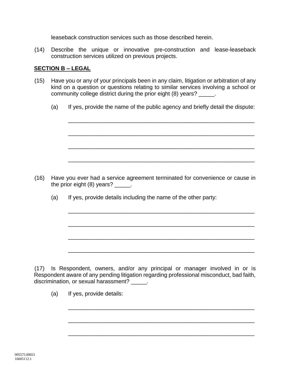leaseback construction services such as those described herein.

(14) Describe the unique or innovative pre-construction and lease-leaseback construction services utilized on previous projects.

#### **SECTION B – LEGAL**

- (15) Have you or any of your principals been in any claim, litigation or arbitration of any kind on a question or questions relating to similar services involving a school or community college district during the prior eight (8) years?
	- (a) If yes, provide the name of the public agency and briefly detail the dispute:

\_\_\_\_\_\_\_\_\_\_\_\_\_\_\_\_\_\_\_\_\_\_\_\_\_\_\_\_\_\_\_\_\_\_\_\_\_\_\_\_\_\_\_\_\_\_\_\_\_\_\_\_\_\_\_\_\_\_\_

\_\_\_\_\_\_\_\_\_\_\_\_\_\_\_\_\_\_\_\_\_\_\_\_\_\_\_\_\_\_\_\_\_\_\_\_\_\_\_\_\_\_\_\_\_\_\_\_\_\_\_\_\_\_\_\_\_\_\_

\_\_\_\_\_\_\_\_\_\_\_\_\_\_\_\_\_\_\_\_\_\_\_\_\_\_\_\_\_\_\_\_\_\_\_\_\_\_\_\_\_\_\_\_\_\_\_\_\_\_\_\_\_\_\_\_\_\_\_

\_\_\_\_\_\_\_\_\_\_\_\_\_\_\_\_\_\_\_\_\_\_\_\_\_\_\_\_\_\_\_\_\_\_\_\_\_\_\_\_\_\_\_\_\_\_\_\_\_\_\_\_\_\_\_\_\_\_\_

\_\_\_\_\_\_\_\_\_\_\_\_\_\_\_\_\_\_\_\_\_\_\_\_\_\_\_\_\_\_\_\_\_\_\_\_\_\_\_\_\_\_\_\_\_\_\_\_\_\_\_\_\_\_\_\_\_\_\_

\_\_\_\_\_\_\_\_\_\_\_\_\_\_\_\_\_\_\_\_\_\_\_\_\_\_\_\_\_\_\_\_\_\_\_\_\_\_\_\_\_\_\_\_\_\_\_\_\_\_\_\_\_\_\_\_\_\_\_

\_\_\_\_\_\_\_\_\_\_\_\_\_\_\_\_\_\_\_\_\_\_\_\_\_\_\_\_\_\_\_\_\_\_\_\_\_\_\_\_\_\_\_\_\_\_\_\_\_\_\_\_\_\_\_\_\_\_\_

\_\_\_\_\_\_\_\_\_\_\_\_\_\_\_\_\_\_\_\_\_\_\_\_\_\_\_\_\_\_\_\_\_\_\_\_\_\_\_\_\_\_\_\_\_\_\_\_\_\_\_\_\_\_\_\_\_\_\_

\_\_\_\_\_\_\_\_\_\_\_\_\_\_\_\_\_\_\_\_\_\_\_\_\_\_\_\_\_\_\_\_\_\_\_\_\_\_\_\_\_\_\_\_\_\_\_\_\_\_\_\_\_\_\_\_\_\_\_

\_\_\_\_\_\_\_\_\_\_\_\_\_\_\_\_\_\_\_\_\_\_\_\_\_\_\_\_\_\_\_\_\_\_\_\_\_\_\_\_\_\_\_\_\_\_\_\_\_\_\_\_\_\_\_\_\_\_\_

\_\_\_\_\_\_\_\_\_\_\_\_\_\_\_\_\_\_\_\_\_\_\_\_\_\_\_\_\_\_\_\_\_\_\_\_\_\_\_\_\_\_\_\_\_\_\_\_\_\_\_\_\_\_\_\_\_\_\_

(16) Have you ever had a service agreement terminated for convenience or cause in the prior eight (8) years? \_\_\_\_\_.

(a) If yes, provide details including the name of the other party:

(17) Is Respondent, owners, and/or any principal or manager involved in or is Respondent aware of any pending litigation regarding professional misconduct, bad faith, discrimination, or sexual harassment?

(a) If yes, provide details: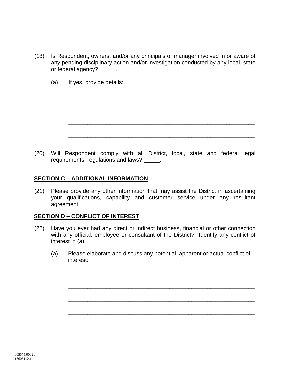(18) Is Respondent, owners, and/or any principals or manager involved in or aware of any pending disciplinary action and/or investigation conducted by any local, state or federal agency? \_\_\_\_\_.

\_\_\_\_\_\_\_\_\_\_\_\_\_\_\_\_\_\_\_\_\_\_\_\_\_\_\_\_\_\_\_\_\_\_\_\_\_\_\_\_\_\_\_\_\_\_\_\_\_\_\_\_\_\_\_\_\_\_\_

\_\_\_\_\_\_\_\_\_\_\_\_\_\_\_\_\_\_\_\_\_\_\_\_\_\_\_\_\_\_\_\_\_\_\_\_\_\_\_\_\_\_\_\_\_\_\_\_\_\_\_\_\_\_\_\_\_\_\_

\_\_\_\_\_\_\_\_\_\_\_\_\_\_\_\_\_\_\_\_\_\_\_\_\_\_\_\_\_\_\_\_\_\_\_\_\_\_\_\_\_\_\_\_\_\_\_\_\_\_\_\_\_\_\_\_\_\_\_

\_\_\_\_\_\_\_\_\_\_\_\_\_\_\_\_\_\_\_\_\_\_\_\_\_\_\_\_\_\_\_\_\_\_\_\_\_\_\_\_\_\_\_\_\_\_\_\_\_\_\_\_\_\_\_\_\_\_\_

\_\_\_\_\_\_\_\_\_\_\_\_\_\_\_\_\_\_\_\_\_\_\_\_\_\_\_\_\_\_\_\_\_\_\_\_\_\_\_\_\_\_\_\_\_\_\_\_\_\_\_\_\_\_\_\_\_\_\_

(a) If yes, provide details:

(20) Will Respondent comply with all District, local, state and federal legal requirements, regulations and laws? \_\_\_\_\_.

#### **SECTION C – ADDITIONAL INFORMATION**

(21) Please provide any other information that may assist the District in ascertaining your qualifications, capability and customer service under any resultant agreement.

#### **SECTION D – CONFLICT OF INTEREST**

- (22) Have you ever had any direct or indirect business, financial or other connection with any official, employee or consultant of the District? Identify any conflict of interest in (a):
	- (a) Please elaborate and discuss any potential, apparent or actual conflict of interest:

\_\_\_\_\_\_\_\_\_\_\_\_\_\_\_\_\_\_\_\_\_\_\_\_\_\_\_\_\_\_\_\_\_\_\_\_\_\_\_\_\_\_\_\_\_\_\_\_\_\_\_\_\_\_\_\_\_\_\_

\_\_\_\_\_\_\_\_\_\_\_\_\_\_\_\_\_\_\_\_\_\_\_\_\_\_\_\_\_\_\_\_\_\_\_\_\_\_\_\_\_\_\_\_\_\_\_\_\_\_\_\_\_\_\_\_\_\_\_

\_\_\_\_\_\_\_\_\_\_\_\_\_\_\_\_\_\_\_\_\_\_\_\_\_\_\_\_\_\_\_\_\_\_\_\_\_\_\_\_\_\_\_\_\_\_\_\_\_\_\_\_\_\_\_\_\_\_\_

\_\_\_\_\_\_\_\_\_\_\_\_\_\_\_\_\_\_\_\_\_\_\_\_\_\_\_\_\_\_\_\_\_\_\_\_\_\_\_\_\_\_\_\_\_\_\_\_\_\_\_\_\_\_\_\_\_\_\_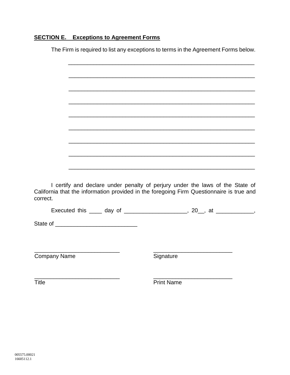## **SECTION E. Exceptions to Agreement Forms**

The Firm is required to list any exceptions to terms in the Agreement Forms below.

|                     |  | <u> 1989 - Johann John Stoff, deutscher Stoff als der Stoff als der Stoff als der Stoff als der Stoff als der Stoff</u>                                                   |                   |  |
|---------------------|--|---------------------------------------------------------------------------------------------------------------------------------------------------------------------------|-------------------|--|
|                     |  |                                                                                                                                                                           |                   |  |
|                     |  |                                                                                                                                                                           |                   |  |
|                     |  |                                                                                                                                                                           |                   |  |
|                     |  |                                                                                                                                                                           |                   |  |
| correct.            |  | I certify and declare under penalty of perjury under the laws of the State of<br>California that the information provided in the foregoing Firm Questionnaire is true and |                   |  |
|                     |  | Executed this _____ day of _______________________, 20__, at _____________,                                                                                               |                   |  |
|                     |  |                                                                                                                                                                           |                   |  |
|                     |  |                                                                                                                                                                           |                   |  |
|                     |  |                                                                                                                                                                           |                   |  |
| <b>Company Name</b> |  | Signature                                                                                                                                                                 |                   |  |
|                     |  |                                                                                                                                                                           |                   |  |
|                     |  |                                                                                                                                                                           |                   |  |
| <b>Title</b>        |  |                                                                                                                                                                           | <b>Print Name</b> |  |
|                     |  |                                                                                                                                                                           |                   |  |
|                     |  |                                                                                                                                                                           |                   |  |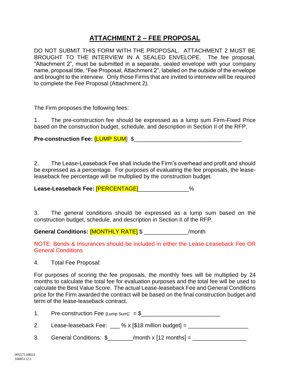## **ATTACHMENT 2 – FEE PROPOSAL**

DO NOT SUBMIT THIS FORM WITH THE PROPOSAL. ATTACHMENT 2 MUST BE BROUGHT TO THE INTERVIEW IN A SEALED ENVELOPE. The fee proposal, "Attachment 2", must be submitted in a separate, sealed envelope with your company name, proposal title, "Fee Proposal, Attachment 2", labeled on the outside of the envelope and brought to the interview. Only those Firms that are invited to interview will be required to complete the Fee Proposal (Attachment 2).

The Firm proposes the following fees:

1. The pre-construction fee should be expressed as a lump sum Firm-Fixed Price based on the construction budget, schedule, and description in Section II of the RFP.

**Pre-construction Fee:** [LUMP SUM] \$\_\_\_\_\_\_\_\_\_\_\_\_\_\_\_\_\_\_\_\_\_\_\_\_\_\_\_\_\_\_\_\_\_\_

2. The Lease-Leaseback Fee shall include the Firm's overhead and profit and should be expressed as a percentage. For purposes of evaluating the fee proposals, the leaseleaseback fee percentage will be multiplied by the construction budget.

**Lease-Leaseback Fee:** [PERCENTAGE]\_\_\_\_\_\_\_\_\_\_\_\_\_\_\_\_%

3. The general conditions should be expressed as a lump sum based on the construction budget, schedule, and description in Section II of the RFP.

General Conditions: **[MONTHLY RATE]** \$ \_\_\_\_\_\_\_\_\_\_\_\_\_\_\_/month

NOTE: Bonds & Insurances should be included in either the Lease-Leaseback Fee OR General Conditions

4. Total Fee Proposal:

For purposes of scoring the fee proposals, the monthly fees will be multiplied by 24 months to calculate the total fee for evaluation purposes and the total fee will be used to calculate the Best Value Score. The actual Lease-leaseback Fee and General Conditions price for the Firm awarded the contract will be based on the final construction budget and term of the lease-leaseback contract.

1. Pre-construction Fee [Lump Sum]:  $= $$ 

2. Lease-leaseback Fee:  $\frac{1}{2}$  % x [\$18 million budget] =  $\frac{1}{2}$ 

3. General Conditions:  $\frac{2}{2}$  /month x [12 months] = \_\_\_\_\_\_\_\_\_\_\_\_\_\_\_\_\_\_\_\_\_\_\_\_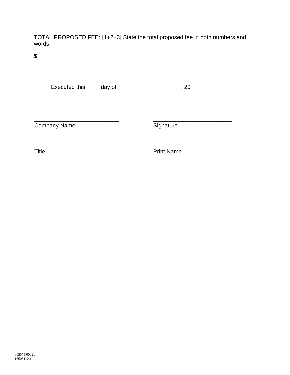TOTAL PROPOSED FEE: [1+2+3] State the total proposed fee in both numbers and words:

| \$                  |                   |
|---------------------|-------------------|
|                     | ,20               |
| <b>Company Name</b> | Signature         |
| <b>Title</b>        | <b>Print Name</b> |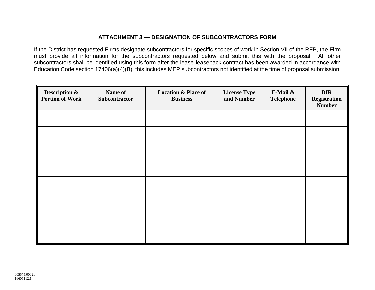#### **ATTACHMENT 3 — DESIGNATION OF SUBCONTRACTORS FORM**

If the District has requested Firms designate subcontractors for specific scopes of work in Section VII of the RFP, the Firm must provide all information for the subcontractors requested below and submit this with the proposal. All other subcontractors shall be identified using this form after the lease-leaseback contract has been awarded in accordance with Education Code section 17406(a)(4)(B), this includes MEP subcontractors not identified at the time of proposal submission.

<span id="page-26-0"></span>

| <b>Description &amp;</b><br><b>Portion of Work</b> | Name of<br>Subcontractor | <b>Location &amp; Place of</b><br><b>Business</b> | <b>License Type</b><br>and Number | E-Mail &<br><b>Telephone</b> | <b>DIR</b><br><b>Registration</b><br><b>Number</b> |
|----------------------------------------------------|--------------------------|---------------------------------------------------|-----------------------------------|------------------------------|----------------------------------------------------|
|                                                    |                          |                                                   |                                   |                              |                                                    |
|                                                    |                          |                                                   |                                   |                              |                                                    |
|                                                    |                          |                                                   |                                   |                              |                                                    |
|                                                    |                          |                                                   |                                   |                              |                                                    |
|                                                    |                          |                                                   |                                   |                              |                                                    |
|                                                    |                          |                                                   |                                   |                              |                                                    |
|                                                    |                          |                                                   |                                   |                              |                                                    |
|                                                    |                          |                                                   |                                   |                              |                                                    |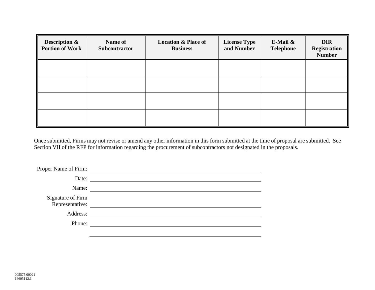| ∥<br><b>Description &amp;</b><br><b>Portion of Work</b> | Name of<br><b>Subcontractor</b> | <b>Location &amp; Place of</b><br><b>Business</b> | <b>License Type</b><br>and Number | E-Mail $\&$<br><b>Telephone</b> | <b>DIR</b><br><b>Registration</b><br><b>Number</b> |
|---------------------------------------------------------|---------------------------------|---------------------------------------------------|-----------------------------------|---------------------------------|----------------------------------------------------|
|                                                         |                                 |                                                   |                                   |                                 |                                                    |
|                                                         |                                 |                                                   |                                   |                                 |                                                    |
|                                                         |                                 |                                                   |                                   |                                 |                                                    |
|                                                         |                                 |                                                   |                                   |                                 |                                                    |

Once submitted, Firms may not revise or amend any other information in this form submitted at the time of proposal are submitted. See Section VII of the RFP for information regarding the procurement of subcontractors not designated in the proposals.

| Proper Name of Firm:                 |  |
|--------------------------------------|--|
| Date:                                |  |
| Name:                                |  |
| Signature of Firm<br>Representative: |  |
| Address:                             |  |
| Phone:                               |  |
|                                      |  |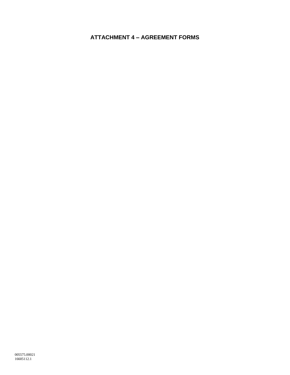## <span id="page-28-0"></span>**ATTACHMENT 4 – AGREEMENT FORMS**